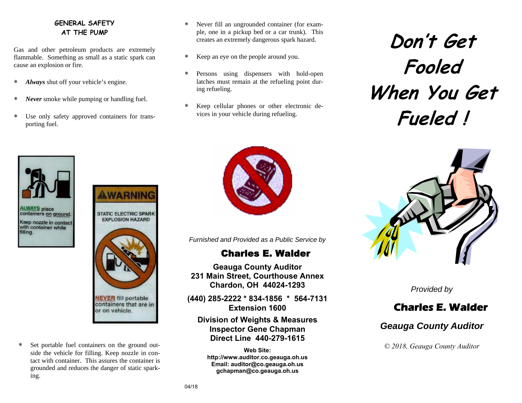### **GENERAL SAFETY AT THE PUMP**

Gas and other petroleum products are extremely flammable. Something as small as a static spark can cause an explosion or fire.

- ∗ *Always* shut off your vehicle's engine.
- ∗ *Never* smoke while pumping or handling fuel.
- ∗ Use only safety approved containers for transporting fuel.
- ∗ Never fill an ungrounded container (for example, one in a pickup bed or a car trunk). This creates an extremely dangerous spark hazard.
- ∗ Keep an eye on the people around you.
- ∗ Persons using dispensers with hold-open latches must remain at the refueling point during refueling.
- ∗ Keep cellular phones or other electronic devices in your vehicle during refueling.

**ALWAYS place** containers on ground. Keep nozzle in contact with container while filling.



∗ Set portable fuel containers on the ground outside the vehicle for filling. Keep nozzle in contact with container. This assures the container is grounded and reduces the danger of static sparking.



*Furnished and Provided as a Public Service by* 

# Charles E. Walder

**Geauga County Auditor 231 Main Street, Courthouse Annex Chardon, OH 44024-1293** 

**(440) 285-2222 \* 834-1856 \* 564-7131 Extension 1600** 

## **Division of Weights & Measures Inspector Gene Chapman Direct Line 440-279-1615**

**Web Site: http://www.auditor.co.geauga.oh.us Email: auditor@co.geauga.oh.us gchapman@co.geauga.oh.us**

**Don't Get Fooled When You Get Fueled !** 



*Provided by* 

# **Charles E. Walder**

# *Geauga County Auditor*

*© 2018, Geauga County Auditor*